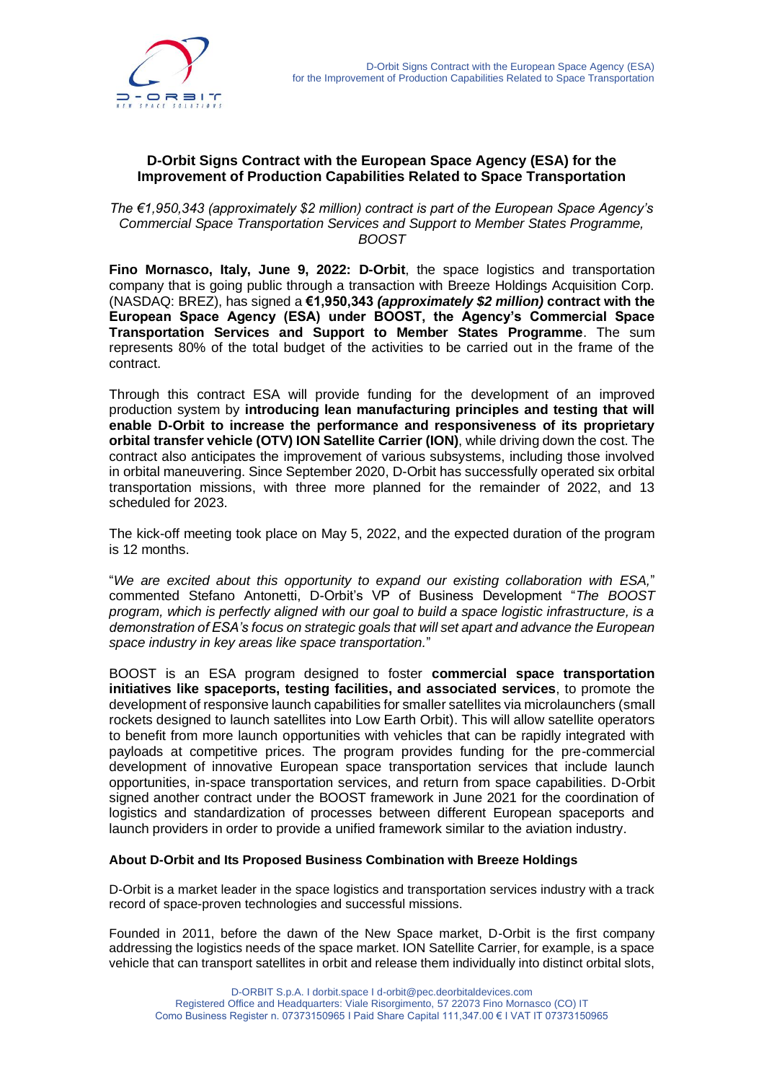

# **D-Orbit Signs Contract with the European Space Agency (ESA) for the Improvement of Production Capabilities Related to Space Transportation**

*The €1,950,343 (approximately \$2 million) contract is part of the European Space Agency's Commercial Space Transportation Services and Support to Member States Programme, BOOST*

**Fino Mornasco, Italy, June 9, 2022: D-Orbit**, the space logistics and transportation company that is going public through a transaction with Breeze Holdings Acquisition Corp. (NASDAQ: BREZ), has signed a **€1,950,343** *(approximately \$2 million)* **contract with the European Space Agency (ESA) under BOOST, the Agency's Commercial Space Transportation Services and Support to Member States Programme**. The sum represents 80% of the total budget of the activities to be carried out in the frame of the contract.

Through this contract ESA will provide funding for the development of an improved production system by **introducing lean manufacturing principles and testing that will enable D-Orbit to increase the performance and responsiveness of its proprietary orbital transfer vehicle (OTV) ION Satellite Carrier (ION)**, while driving down the cost. The contract also anticipates the improvement of various subsystems, including those involved in orbital maneuvering. Since September 2020, D-Orbit has successfully operated six orbital transportation missions, with three more planned for the remainder of 2022, and 13 scheduled for 2023.

The kick-off meeting took place on May 5, 2022, and the expected duration of the program is 12 months.

"*We are excited about this opportunity to expand our existing collaboration with ESA,*" commented Stefano Antonetti, D-Orbit's VP of Business Development "*The BOOST program, which is perfectly aligned with our goal to build a space logistic infrastructure, is a demonstration of ESA's focus on strategic goals that will set apart and advance the European space industry in key areas like space transportation.*"

BOOST is an ESA program designed to foster **commercial space transportation initiatives like spaceports, testing facilities, and associated services**, to promote the development of responsive launch capabilities for smaller satellites via microlaunchers (small rockets designed to launch satellites into Low Earth Orbit). This will allow satellite operators to benefit from more launch opportunities with vehicles that can be rapidly integrated with payloads at competitive prices. The program provides funding for the pre-commercial development of innovative European space transportation services that include launch opportunities, in-space transportation services, and return from space capabilities. D-Orbit signed another contract under the BOOST framework in June 2021 for the coordination of logistics and standardization of processes between different European spaceports and launch providers in order to provide a unified framework similar to the aviation industry.

## **About D-Orbit and Its Proposed Business Combination with Breeze Holdings**

D-Orbit is a market leader in the space logistics and transportation services industry with a track record of space-proven technologies and successful missions.

Founded in 2011, before the dawn of the New Space market, D-Orbit is the first company addressing the logistics needs of the space market. ION Satellite Carrier, for example, is a space vehicle that can transport satellites in orbit and release them individually into distinct orbital slots,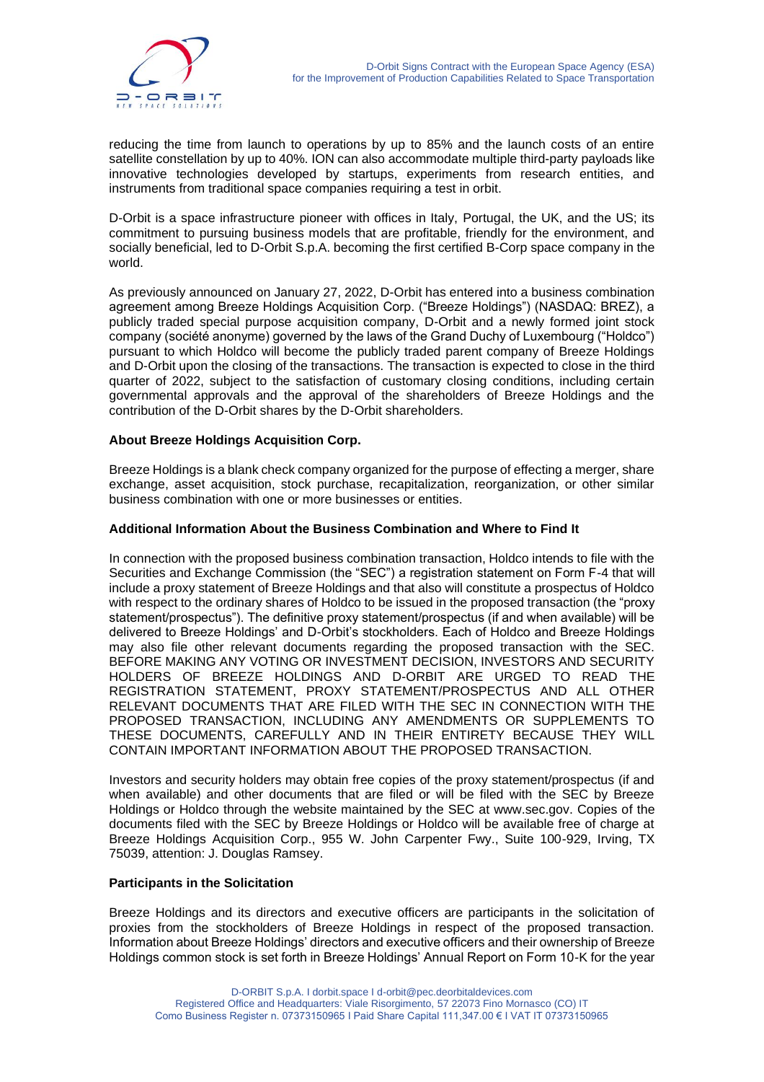reducing the time from launch to operations by up to 85% and the launch costs of an entire satellite constellation by up to 40%. ION can also accommodate multiple third-party payloads like innovative technologies developed by startups, experiments from research entities, and instruments from traditional space companies requiring a test in orbit.

D-Orbit is a space infrastructure pioneer with offices in Italy, Portugal, the UK, and the US; its commitment to pursuing business models that are profitable, friendly for the environment, and socially beneficial, led to D-Orbit S.p.A. becoming the first certified B-Corp space company in the world.

As previously announced on January 27, 2022, D-Orbit has entered into a business combination agreement among Breeze Holdings Acquisition Corp. ("Breeze Holdings") (NASDAQ: BREZ), a publicly traded special purpose acquisition company, D-Orbit and a newly formed joint stock company (société anonyme) governed by the laws of the Grand Duchy of Luxembourg ("Holdco") pursuant to which Holdco will become the publicly traded parent company of Breeze Holdings and D-Orbit upon the closing of the transactions. The transaction is expected to close in the third quarter of 2022, subject to the satisfaction of customary closing conditions, including certain governmental approvals and the approval of the shareholders of Breeze Holdings and the contribution of the D-Orbit shares by the D-Orbit shareholders.

## **About Breeze Holdings Acquisition Corp.**

Breeze Holdings is a blank check company organized for the purpose of effecting a merger, share exchange, asset acquisition, stock purchase, recapitalization, reorganization, or other similar business combination with one or more businesses or entities.

#### **Additional Information About the Business Combination and Where to Find It**

In connection with the proposed business combination transaction, Holdco intends to file with the Securities and Exchange Commission (the "SEC") a registration statement on Form F-4 that will include a proxy statement of Breeze Holdings and that also will constitute a prospectus of Holdco with respect to the ordinary shares of Holdco to be issued in the proposed transaction (the "proxy statement/prospectus"). The definitive proxy statement/prospectus (if and when available) will be delivered to Breeze Holdings' and D-Orbit's stockholders. Each of Holdco and Breeze Holdings may also file other relevant documents regarding the proposed transaction with the SEC. BEFORE MAKING ANY VOTING OR INVESTMENT DECISION, INVESTORS AND SECURITY HOLDERS OF BREEZE HOLDINGS AND D-ORBIT ARE URGED TO READ THE REGISTRATION STATEMENT, PROXY STATEMENT/PROSPECTUS AND ALL OTHER RELEVANT DOCUMENTS THAT ARE FILED WITH THE SEC IN CONNECTION WITH THE PROPOSED TRANSACTION, INCLUDING ANY AMENDMENTS OR SUPPLEMENTS TO THESE DOCUMENTS, CAREFULLY AND IN THEIR ENTIRETY BECAUSE THEY WILL CONTAIN IMPORTANT INFORMATION ABOUT THE PROPOSED TRANSACTION.

Investors and security holders may obtain free copies of the proxy statement/prospectus (if and when available) and other documents that are filed or will be filed with the SEC by Breeze Holdings or Holdco through the website maintained by the SEC at www.sec.gov. Copies of the documents filed with the SEC by Breeze Holdings or Holdco will be available free of charge at Breeze Holdings Acquisition Corp., 955 W. John Carpenter Fwy., Suite 100-929, Irving, TX 75039, attention: J. Douglas Ramsey.

## **Participants in the Solicitation**

Breeze Holdings and its directors and executive officers are participants in the solicitation of proxies from the stockholders of Breeze Holdings in respect of the proposed transaction. Information about Breeze Holdings' directors and executive officers and their ownership of Breeze Holdings common stock is set forth in Breeze Holdings' Annual Report on Form 10-K for the year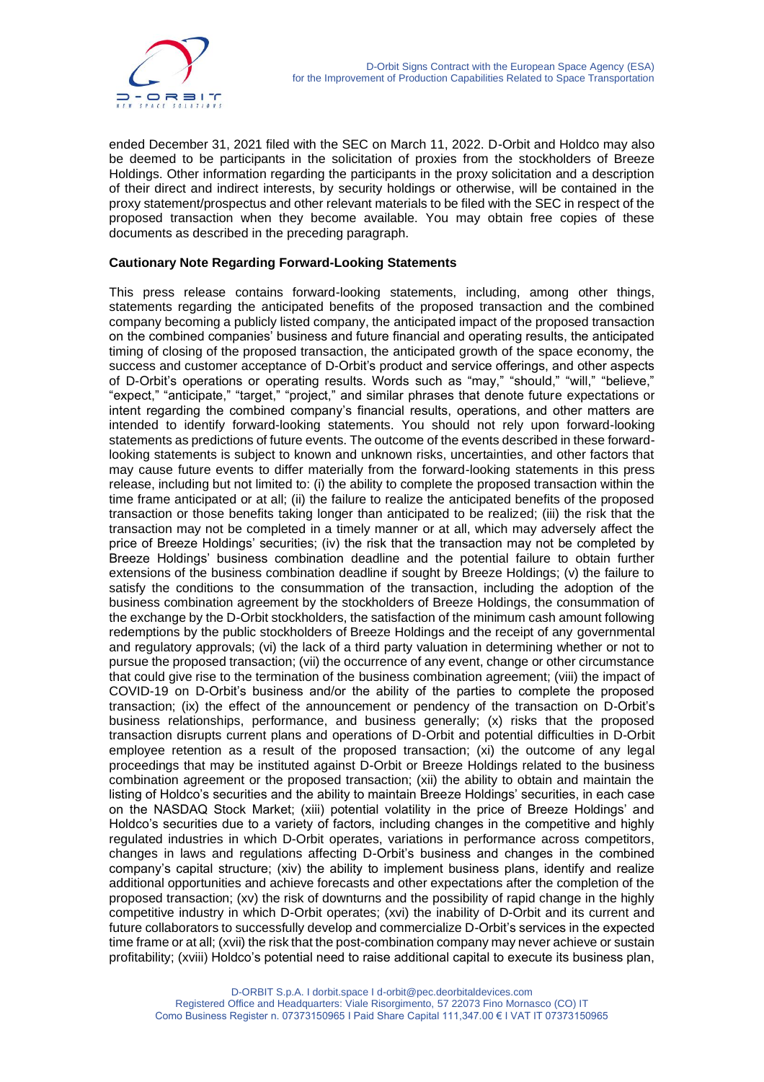ended December 31, 2021 filed with the SEC on March 11, 2022. D-Orbit and Holdco may also be deemed to be participants in the solicitation of proxies from the stockholders of Breeze Holdings. Other information regarding the participants in the proxy solicitation and a description of their direct and indirect interests, by security holdings or otherwise, will be contained in the proxy statement/prospectus and other relevant materials to be filed with the SEC in respect of the proposed transaction when they become available. You may obtain free copies of these documents as described in the preceding paragraph.

# **Cautionary Note Regarding Forward-Looking Statements**

This press release contains forward-looking statements, including, among other things, statements regarding the anticipated benefits of the proposed transaction and the combined company becoming a publicly listed company, the anticipated impact of the proposed transaction on the combined companies' business and future financial and operating results, the anticipated timing of closing of the proposed transaction, the anticipated growth of the space economy, the success and customer acceptance of D-Orbit's product and service offerings, and other aspects of D-Orbit's operations or operating results. Words such as "may," "should," "will," "believe," "expect," "anticipate," "target," "project," and similar phrases that denote future expectations or intent regarding the combined company's financial results, operations, and other matters are intended to identify forward-looking statements. You should not rely upon forward-looking statements as predictions of future events. The outcome of the events described in these forwardlooking statements is subject to known and unknown risks, uncertainties, and other factors that may cause future events to differ materially from the forward-looking statements in this press release, including but not limited to: (i) the ability to complete the proposed transaction within the time frame anticipated or at all; (ii) the failure to realize the anticipated benefits of the proposed transaction or those benefits taking longer than anticipated to be realized; (iii) the risk that the transaction may not be completed in a timely manner or at all, which may adversely affect the price of Breeze Holdings' securities; (iv) the risk that the transaction may not be completed by Breeze Holdings' business combination deadline and the potential failure to obtain further extensions of the business combination deadline if sought by Breeze Holdings; (v) the failure to satisfy the conditions to the consummation of the transaction, including the adoption of the business combination agreement by the stockholders of Breeze Holdings, the consummation of the exchange by the D-Orbit stockholders, the satisfaction of the minimum cash amount following redemptions by the public stockholders of Breeze Holdings and the receipt of any governmental and regulatory approvals; (vi) the lack of a third party valuation in determining whether or not to pursue the proposed transaction; (vii) the occurrence of any event, change or other circumstance that could give rise to the termination of the business combination agreement; (viii) the impact of COVID-19 on D-Orbit's business and/or the ability of the parties to complete the proposed transaction; (ix) the effect of the announcement or pendency of the transaction on D-Orbit's business relationships, performance, and business generally; (x) risks that the proposed transaction disrupts current plans and operations of D-Orbit and potential difficulties in D-Orbit employee retention as a result of the proposed transaction; (xi) the outcome of any legal proceedings that may be instituted against D-Orbit or Breeze Holdings related to the business combination agreement or the proposed transaction; (xii) the ability to obtain and maintain the listing of Holdco's securities and the ability to maintain Breeze Holdings' securities, in each case on the NASDAQ Stock Market; (xiii) potential volatility in the price of Breeze Holdings' and Holdco's securities due to a variety of factors, including changes in the competitive and highly regulated industries in which D-Orbit operates, variations in performance across competitors, changes in laws and regulations affecting D-Orbit's business and changes in the combined company's capital structure; (xiv) the ability to implement business plans, identify and realize additional opportunities and achieve forecasts and other expectations after the completion of the proposed transaction; (xv) the risk of downturns and the possibility of rapid change in the highly competitive industry in which D-Orbit operates; (xvi) the inability of D-Orbit and its current and future collaborators to successfully develop and commercialize D-Orbit's services in the expected time frame or at all; (xvii) the risk that the post-combination company may never achieve or sustain profitability; (xviii) Holdco's potential need to raise additional capital to execute its business plan,